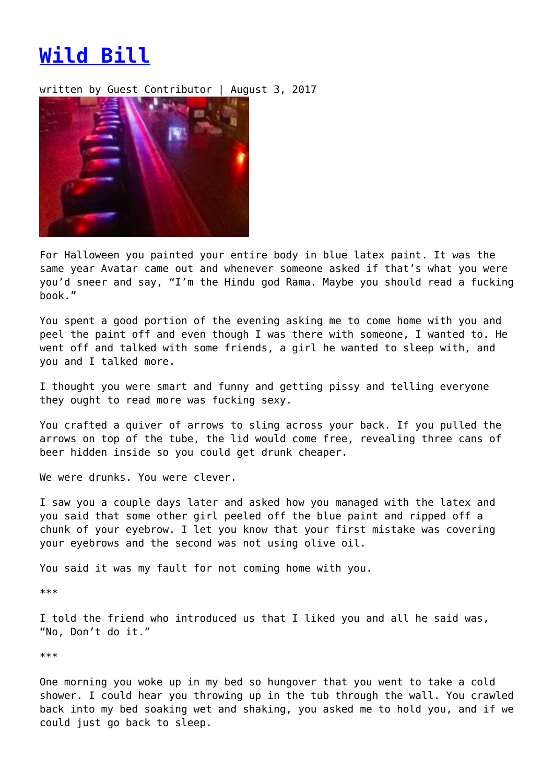## **[Wild Bill](https://entropymag.org/wild-bill/)**

written by Guest Contributor | August 3, 2017



For Halloween you painted your entire body in blue latex paint. It was the same year Avatar came out and whenever someone asked if that's what you were you'd sneer and say, "I'm the Hindu god Rama. Maybe you should read a fucking book."

You spent a good portion of the evening asking me to come home with you and peel the paint off and even though I was there with someone, I wanted to. He went off and talked with some friends, a girl he wanted to sleep with, and you and I talked more.

I thought you were smart and funny and getting pissy and telling everyone they ought to read more was fucking sexy.

You crafted a quiver of arrows to sling across your back. If you pulled the arrows on top of the tube, the lid would come free, revealing three cans of beer hidden inside so you could get drunk cheaper.

We were drunks. You were clever.

I saw you a couple days later and asked how you managed with the latex and you said that some other girl peeled off the blue paint and ripped off a chunk of your eyebrow. I let you know that your first mistake was covering your eyebrows and the second was not using olive oil.

You said it was my fault for not coming home with you.

\*\*\*

I told the friend who introduced us that I liked you and all he said was, "No, Don't do it."

\*\*\*

One morning you woke up in my bed so hungover that you went to take a cold shower. I could hear you throwing up in the tub through the wall. You crawled back into my bed soaking wet and shaking, you asked me to hold you, and if we could just go back to sleep.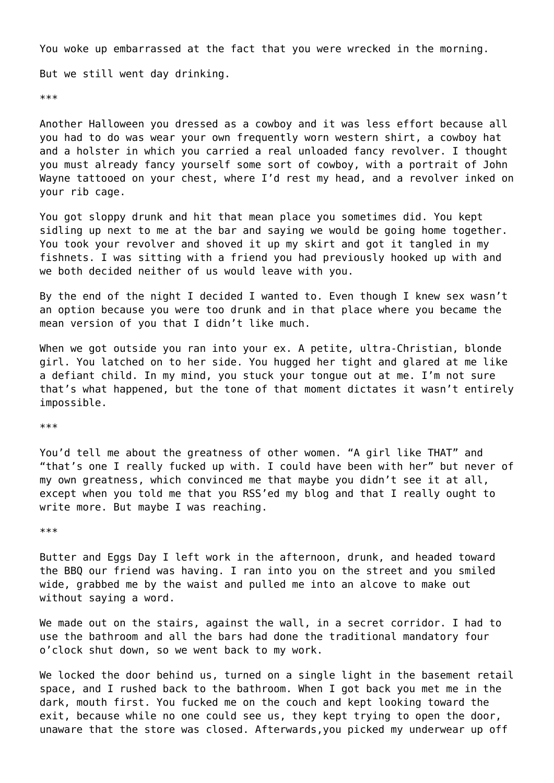You woke up embarrassed at the fact that you were wrecked in the morning.

But we still went day drinking.

\*\*\*

Another Halloween you dressed as a cowboy and it was less effort because all you had to do was wear your own frequently worn western shirt, a cowboy hat and a holster in which you carried a real unloaded fancy revolver. I thought you must already fancy yourself some sort of cowboy, with a portrait of John Wayne tattooed on your chest, where I'd rest my head, and a revolver inked on your rib cage.

You got sloppy drunk and hit that mean place you sometimes did. You kept sidling up next to me at the bar and saying we would be going home together. You took your revolver and shoved it up my skirt and got it tangled in my fishnets. I was sitting with a friend you had previously hooked up with and we both decided neither of us would leave with you.

By the end of the night I decided I wanted to. Even though I knew sex wasn't an option because you were too drunk and in that place where you became the mean version of you that I didn't like much.

When we got outside you ran into your ex. A petite, ultra-Christian, blonde girl. You latched on to her side. You hugged her tight and glared at me like a defiant child. In my mind, you stuck your tongue out at me. I'm not sure that's what happened, but the tone of that moment dictates it wasn't entirely impossible.

\*\*\*

You'd tell me about the greatness of other women. "A girl like THAT" and "that's one I really fucked up with. I could have been with her" but never of my own greatness, which convinced me that maybe you didn't see it at all, except when you told me that you RSS'ed my blog and that I really ought to write more. But maybe I was reaching.

\*\*\*

Butter and Eggs Day I left work in the afternoon, drunk, and headed toward the BBQ our friend was having. I ran into you on the street and you smiled wide, grabbed me by the waist and pulled me into an alcove to make out without saying a word.

We made out on the stairs, against the wall, in a secret corridor. I had to use the bathroom and all the bars had done the traditional mandatory four o'clock shut down, so we went back to my work.

We locked the door behind us, turned on a single light in the basement retail space, and I rushed back to the bathroom. When I got back you met me in the dark, mouth first. You fucked me on the couch and kept looking toward the exit, because while no one could see us, they kept trying to open the door, unaware that the store was closed. Afterwards,you picked my underwear up off